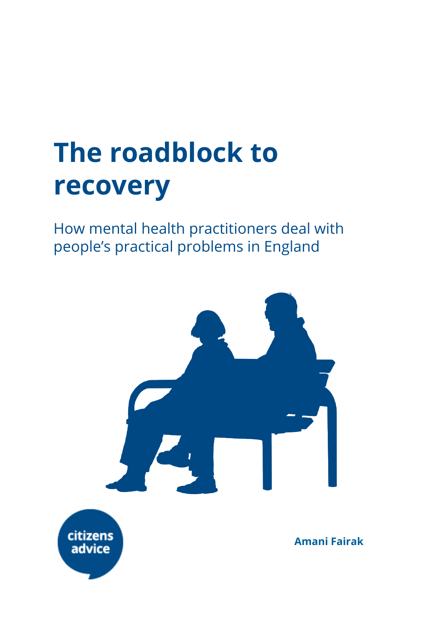# **The roadblock to recovery**

How mental health practitioners deal with people's practical problems in England

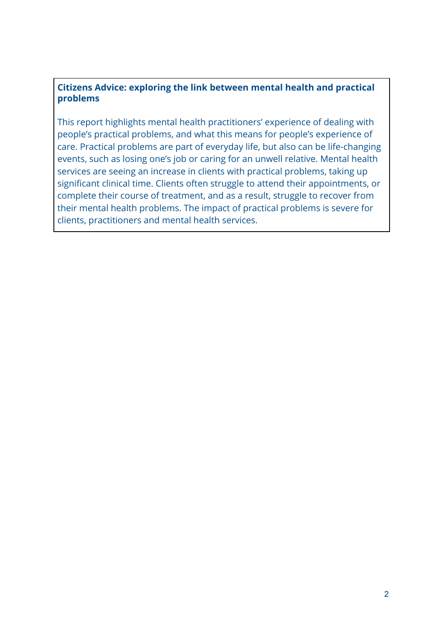#### **Citizens Advice: exploring the link between mental health and practical problems**

This report highlights mental health practitioners' experience of dealing with people's practical problems, and what this means for people's experience of care. Practical problems are part of everyday life, but also can be life-changing events, such as losing one's job or caring for an unwell relative. Mental health services are seeing an increase in clients with practical problems, taking up significant clinical time. Clients often struggle to attend their appointments, or complete their course of treatment, and as a result, struggle to recover from their mental health problems. The impact of practical problems is severe for clients, practitioners and mental health services.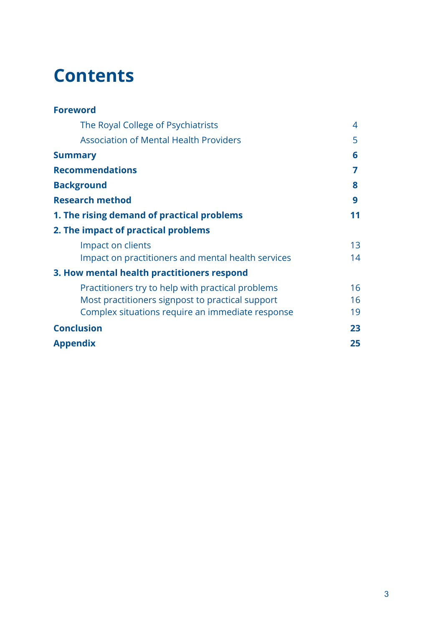## **Contents**

| <b>Foreword</b>                                    |    |
|----------------------------------------------------|----|
| The Royal College of Psychiatrists                 | 4  |
| <b>Association of Mental Health Providers</b>      | 5  |
| <b>Summary</b>                                     | 6  |
| <b>Recommendations</b>                             | 7  |
| <b>Background</b>                                  | 8  |
| <b>Research method</b>                             | 9  |
| 1. The rising demand of practical problems         | 11 |
| 2. The impact of practical problems                |    |
| Impact on clients                                  | 13 |
| Impact on practitioners and mental health services | 14 |
| 3. How mental health practitioners respond         |    |
| Practitioners try to help with practical problems  | 16 |
| Most practitioners signpost to practical support   | 16 |
| Complex situations require an immediate response   | 19 |
| <b>Conclusion</b>                                  | 23 |
| <b>Appendix</b>                                    | 25 |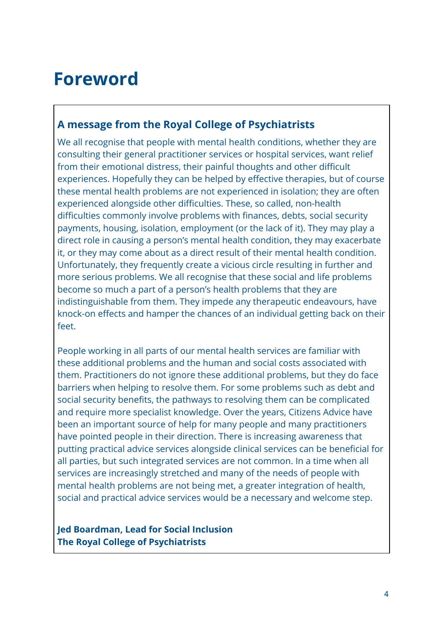## **Foreword**

## <span id="page-3-0"></span>**A message from the Royal College of Psychiatrists**

We all recognise that people with mental health conditions, whether they are consulting their general practitioner services or hospital services, want relief from their emotional distress, their painful thoughts and other difficult experiences. Hopefully they can be helped by effective therapies, but of course these mental health problems are not experienced in isolation; they are often experienced alongside other difficulties. These, so called, non-health difficulties commonly involve problems with finances, debts, social security payments, housing, isolation, employment (or the lack of it). They may play a direct role in causing a person's mental health condition, they may exacerbate it, or they may come about as a direct result of their mental health condition. Unfortunately, they frequently create a vicious circle resulting in further and more serious problems. We all recognise that these social and life problems become so much a part of a person's health problems that they are indistinguishable from them. They impede any therapeutic endeavours, have knock-on effects and hamper the chances of an individual getting back on their feet.

People working in all parts of our mental health services are familiar with these additional problems and the human and social costs associated with them. Practitioners do not ignore these additional problems, but they do face barriers when helping to resolve them. For some problems such as debt and social security benefits, the pathways to resolving them can be complicated and require more specialist knowledge. Over the years, Citizens Advice have been an important source of help for many people and many practitioners have pointed people in their direction. There is increasing awareness that putting practical advice services alongside clinical services can be beneficial for all parties, but such integrated services are not common. In a time when all services are increasingly stretched and many of the needs of people with mental health problems are not being met, a greater integration of health, social and practical advice services would be a necessary and welcome step.

**Jed Boardman, Lead for Social Inclusion The Royal College of Psychiatrists**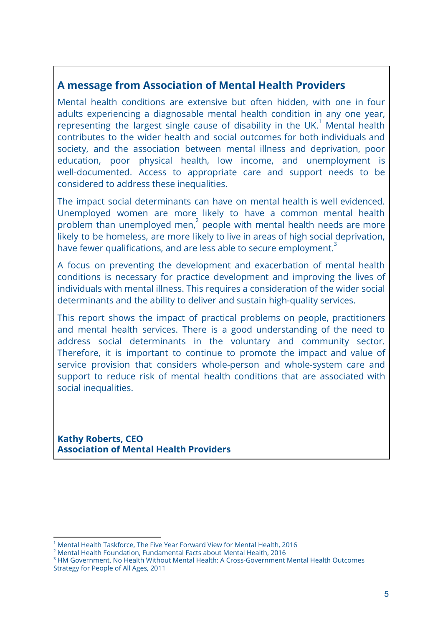## <span id="page-4-0"></span>**A message from Association of Mental Health Providers**

Mental health conditions are extensive but often hidden, with one in four adults experiencing a diagnosable mental health condition in any one year, representing the largest single cause of disability in the UK.<sup>1</sup> Mental health contributes to the wider health and social outcomes for both individuals and society, and the association between mental illness and deprivation, poor education, poor physical health, low income, and unemployment is well-documented. Access to appropriate care and support needs to be considered to address these inequalities.

The impact social determinants can have on mental health is well evidenced. Unemployed women are more likely to have a common mental health problem than unemployed men, $2$  people with mental health needs are more likely to be homeless, are more likely to live in areas of high social deprivation, have fewer qualifications, and are less able to secure employment.<sup>3</sup>

A focus on preventing the development and exacerbation of mental health conditions is necessary for practice development and improving the lives of individuals with mental illness. This requires a consideration of the wider social determinants and the ability to deliver and sustain high-quality services.

This report shows the impact of practical problems on people, practitioners and mental health services. There is a good understanding of the need to address social determinants in the voluntary and community sector. Therefore, it is important to continue to promote the impact and value of service provision that considers whole-person and whole-system care and support to reduce risk of mental health conditions that are associated with social inequalities.

**Kathy Roberts, CEO Association of Mental Health Providers**

<sup>1</sup> Mental Health Taskforce, The Five Year Forward View for Mental Health, 2016

<sup>2</sup> Mental Health Foundation, Fundamental Facts about Mental Health, 2016

<sup>&</sup>lt;sup>3</sup> HM Government, No Health Without Mental Health: A Cross-Government Mental Health Outcomes Strategy for People of All Ages, 2011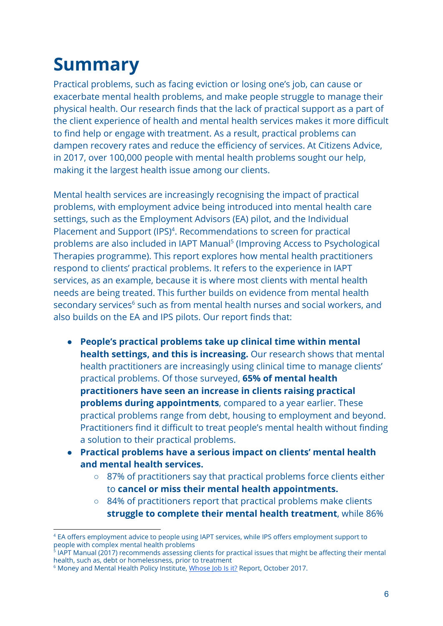# <span id="page-5-0"></span>**Summary**

Practical problems, such as facing eviction or losing one's job, can cause or exacerbate mental health problems, and make people struggle to manage their physical health. Our research finds that the lack of practical support as a part of the client experience of health and mental health services makes it more difficult to find help or engage with treatment. As a result, practical problems can dampen recovery rates and reduce the efficiency of services. At Citizens Advice, in 2017, over 100,000 people with mental health problems sought our help, making it the largest health issue among our clients.

Mental health services are increasingly recognising the impact of practical problems, with employment advice being introduced into mental health care settings, such as the Employment Advisors (EA) pilot, and the Individual Placement and Support (IPS)<sup>4</sup>. Recommendations to screen for practical problems are also included in IAPT Manual<sup>5</sup> (Improving Access to Psychological Therapies programme). This report explores how mental health practitioners respond to clients' practical problems. It refers to the experience in IAPT services, as an example, because it is where most clients with mental health needs are being treated. This further builds on evidence from mental health secondary services<sup>6</sup> such as from mental health nurses and social workers, and also builds on the EA and IPS pilots. Our report finds that:

- **People's practical problems take up clinical time within mental health settings, and this is increasing.** Our research shows that mental health practitioners are increasingly using clinical time to manage clients' practical problems. Of those surveyed, **65% of mental health practitioners have seen an increase in clients raising practical problems during appointments**, compared to a year earlier. These practical problems range from debt, housing to employment and beyond. Practitioners find it difficult to treat people's mental health without finding a solution to their practical problems.
- **Practical problems have a serious impact on clients' mental health and mental health services.**
	- 87% of practitionerssay that practical problems force clients either to **cancel or miss their mental health appointments.**
	- 84% of practitioners report that practical problems make clients **struggle to complete their mental health treatment**, while 86%

<sup>&</sup>lt;sup>4</sup> EA offers employment advice to people using IAPT services, while IPS offers employment support to people with complex mental health problems

<sup>5</sup> IAPT Manual (2017) recommends assessing clients for practical issues that might be affecting their mental health, such as, debt or homelessness, prior to treatment

<sup>&</sup>lt;sup>6</sup> Money and Mental Health Policy Institute, [Whose Job Is it?](https://www.moneyandmentalhealth.org/debt-advice-in-mental-health-settings/) Report, October 2017.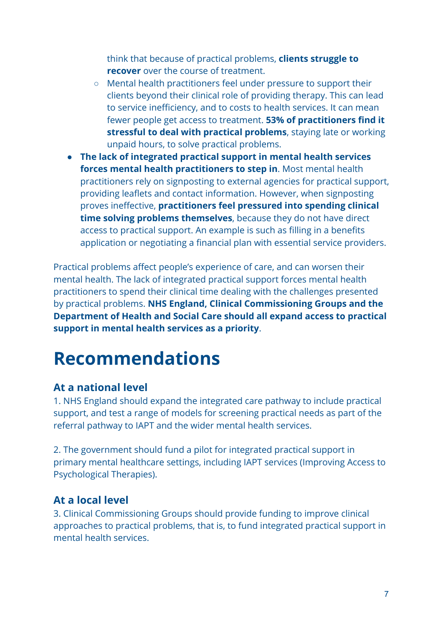think that because of practical problems, **clients struggle to recover** over the course of treatment.

- Mental health practitioners feel under pressure to support their clients beyond their clinical role of providing therapy. This can lead to service inefficiency, and to costs to health services. It can mean fewer people get access to treatment. **53% of practitioners find it stressful to deal with practical problems**, staying late or working unpaid hours, to solve practical problems.
- **The lack of integrated practical support in mental health services forces mental health practitioners to step in**. Most mental health practitioners rely on signposting to external agencies for practical support, providing leaflets and contact information. However, when signposting proves ineffective, **practitioners feel pressured into spending clinical time solving problems themselves**, because they do not have direct access to practical support. An example is such as filling in a benefits application or negotiating a financial plan with essential service providers.

Practical problems affect people's experience of care, and can worsen their mental health. The lack of integrated practical support forces mental health practitioners to spend their clinical time dealing with the challenges presented by practical problems. **NHS England, Clinical Commissioning Groups and the Department of Health and Social Care should all expand access to practical support in mental health services as a priority**.

# <span id="page-6-0"></span>**Recommendations**

## **At a national level**

1. NHS England should expand the integrated care pathway to include practical support, and test a range of models for screening practical needs as part of the referral pathway to IAPT and the wider mental health services.

2. The government should fund a pilot for integrated practical support in primary mental healthcare settings, including IAPT services (Improving Access to Psychological Therapies).

## **At a local level**

3. Clinical Commissioning Groups should provide funding to improve clinical approaches to practical problems, that is, to fund integrated practical support in mental health services.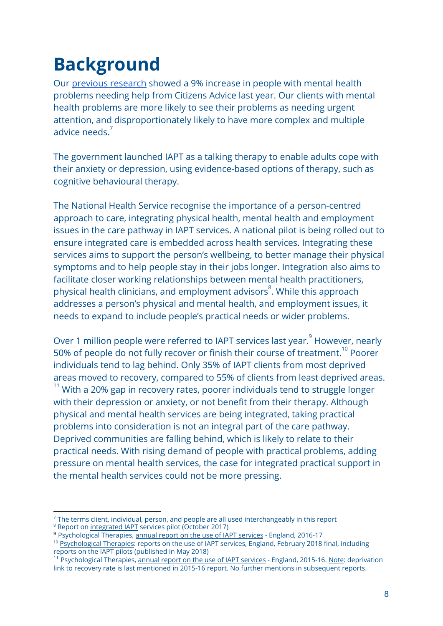## <span id="page-7-0"></span>**Background**

Our [previous research](https://www.citizensadvice.org.uk/about-us/policy/policy-research-topics/health-and-care-policy-research/public-services-policy-research/joining-the-dots-integrating-practical-support-in-mental-healthcare-settings-in-england/) showed a 9% increase in people with mental health problems needing help from Citizens Advice last year. Our clients with mental health problems are more likely to see their problems as needing urgent attention, and disproportionately likely to have more complex and multiple advice needs<sup>7</sup>

The government launched IAPT as a talking therapy to enable adults cope with their anxiety or depression, using evidence-based options of therapy, such as cognitive behavioural therapy.

The National Health Service recognise the importance of a person-centred approach to care, integrating physical health, mental health and employment issues in the care pathway in IAPT services. A national pilot is being rolled out to ensure integrated care is embedded across health services. Integrating these services aims to support the person's wellbeing, to better manage their physical symptoms and to help people stay in their jobs longer. Integration also aims to facilitate closer working relationships between mental health practitioners, physical health clinicians, and employment advisors<sup>8</sup>. While this approach addresses a person's physical and mental health, and employment issues, it needs to expand to include people's practical needs or wider problems.

Over 1 million people were referred to IAPT services last year.<sup>9</sup> However, nearly 50% of people do not fully recover or finish their course of treatment.<sup>10</sup> Poorer individuals tend to lag behind. Only 35% of IAPT clients from most deprived areas moved to recovery, compared to 55% of clients from least deprived areas.  $11$  With a 20% gap in recovery rates, poorer individuals tend to struggle longer with their depression or anxiety, or not benefit from their therapy. Although physical and mental health services are being integrated, taking practical problems into consideration is not an integral part of the care pathway. Deprived communities are falling behind, which is likely to relate to their practical needs. With rising demand of people with practical problems, adding pressure on mental health services, the case for integrated practical support in the mental health services could not be more pressing.

 $^7$  The terms client, individual, person, and people are all used interchangeably in this report

<sup>&</sup>lt;sup>8</sup> Report on [integrated IAPT](http://www.digital.nhs.uk/catalogue/PUB30202) services pilot (October 2017)

<sup>9</sup> Psychological Therapies, [annual report on the use of IAPT services](https://digital.nhs.uk/catalogue/PUB30157) - England, 2016-17

<sup>&</sup>lt;sup>10</sup> [Psychological Therapies](https://digital.nhs.uk/data-and-information/publications/statistical/psychological-therapies-report-on-the-use-of-iapt-services/psychological-therapies-reports-on-the-use-of-iapt-services-england-jan-2018-final-including-reports-on-the-iapt-pilots): reports on the use of IAPT services, England, February 2018 final, including reports on the IAPT pilots (published in May 2018)

<sup>&</sup>lt;sup>11</sup> Psychological Therapies, [annual report on the use of IAPT services](http://digital.nhs.uk/catalogue/PUB22110) - England, 2015-16. Note: deprivation link to recovery rate is last mentioned in 2015-16 report. No further mentions in subsequent reports.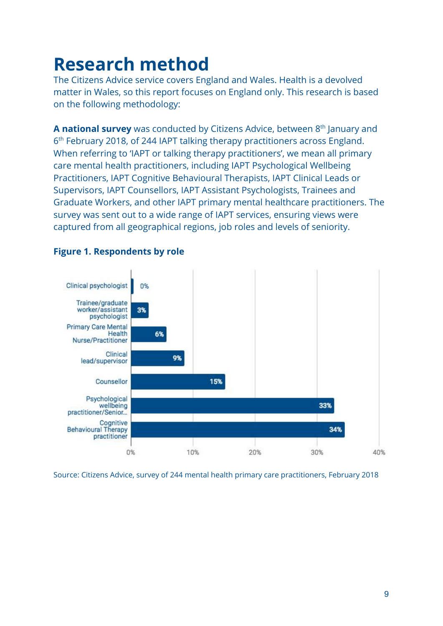## <span id="page-8-0"></span>**Research method**

The Citizens Advice service covers England and Wales. Health is a devolved matter in Wales, so this report focuses on England only. This research is based on the following methodology:

**A national survey** was conducted by Citizens Advice, between 8<sup>th</sup> January and 6th February 2018, of 244 IAPT talking therapy practitioners across England. When referring to 'IAPT or talking therapy practitioners', we mean all primary care mental health practitioners, including IAPT Psychological Wellbeing Practitioners, IAPT Cognitive Behavioural Therapists, IAPT Clinical Leads or Supervisors, IAPT Counsellors, IAPT Assistant Psychologists, Trainees and Graduate Workers, and other IAPT primary mental healthcare practitioners. The survey was sent out to a wide range of IAPT services, ensuring views were captured from all geographical regions, job roles and levels of seniority.



### **Figure 1. Respondents by role**

Source: Citizens Advice, survey of 244 mental health primary care practitioners, February 2018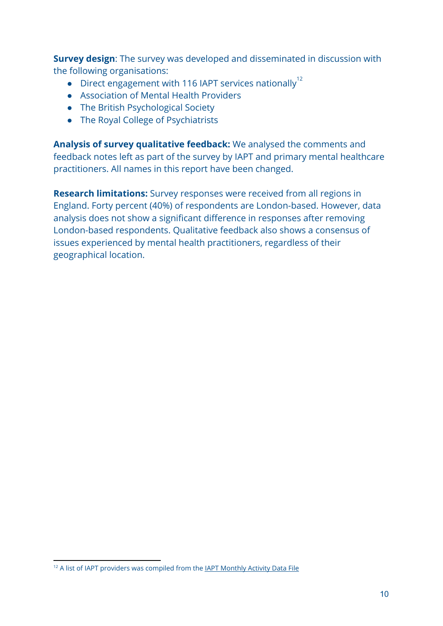**Survey design**: The survey was developed and disseminated in discussion with the following organisations:

- Direct engagement with 116 IAPT services nationally<sup>12</sup>
- Association of Mental Health Providers
- The British Psychological Society
- The Royal College of Psychiatrists

**Analysis of survey qualitative feedback:** We analysed the comments and feedback notes left as part of the survey by IAPT and primary mental healthcare practitioners. All names in this report have been changed.

**Research limitations:** Survey responses were received from all regions in England. Forty percent (40%) of respondents are London-based. However, data analysis does not show a significant difference in responses after removing London-based respondents. Qualitative feedback also shows a consensus of issues experienced by mental health practitioners, regardless of their geographical location.

<sup>&</sup>lt;sup>12</sup> A list of IAPT providers was compiled from the **IAPT Monthly Activity Data File**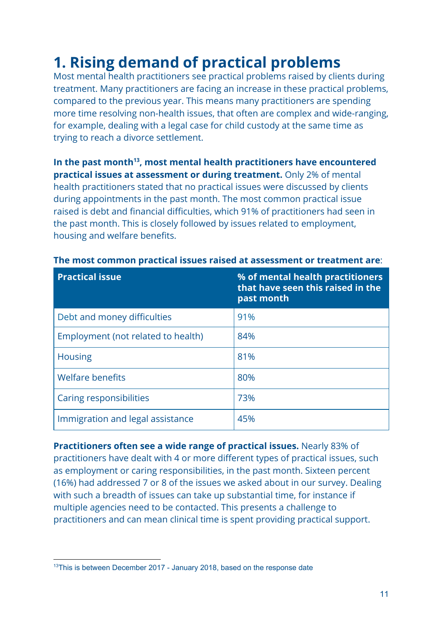## <span id="page-10-0"></span>**1. Rising demand of practical problems**

Most mental health practitioners see practical problems raised by clients during treatment. Many practitioners are facing an increase in these practical problems, compared to the previous year. This means many practitioners are spending more time resolving non-health issues, that often are complex and wide-ranging, for example, dealing with a legal case for child custody at the same time as trying to reach a divorce settlement.

In the past month<sup>13</sup>, most mental health practitioners have encountered **practical issues at assessment or during treatment.** Only 2% of mental health practitioners stated that no practical issues were discussed by clients during appointments in the past month. The most common practical issue raised is debt and financial difficulties, which 91% of practitioners had seen in the past month. This is closely followed by issues related to employment, housing and welfare benefits.

| <b>Practical issue</b>             | % of mental health practitioners<br>that have seen this raised in the<br>past month |
|------------------------------------|-------------------------------------------------------------------------------------|
| Debt and money difficulties        | 91%                                                                                 |
| Employment (not related to health) | 84%                                                                                 |
| <b>Housing</b>                     | 81%                                                                                 |
| <b>Welfare benefits</b>            | 80%                                                                                 |
| Caring responsibilities            | 73%                                                                                 |
| Immigration and legal assistance   | 45%                                                                                 |

#### **The most common practical issues raised at assessment or treatment are**:

**Practitioners often see a wide range of practical issues.** Nearly 83% of practitioners have dealt with 4 or more different types of practical issues, such as employment or caring responsibilities, in the past month. Sixteen percent (16%) had addressed 7 or 8 of the issues we asked about in our survey. Dealing with such a breadth of issues can take up substantial time, for instance if multiple agencies need to be contacted. This presents a challenge to practitioners and can mean clinical time is spent providing practical support.

<sup>&</sup>lt;sup>13</sup>This is between December 2017 - January 2018, based on the response date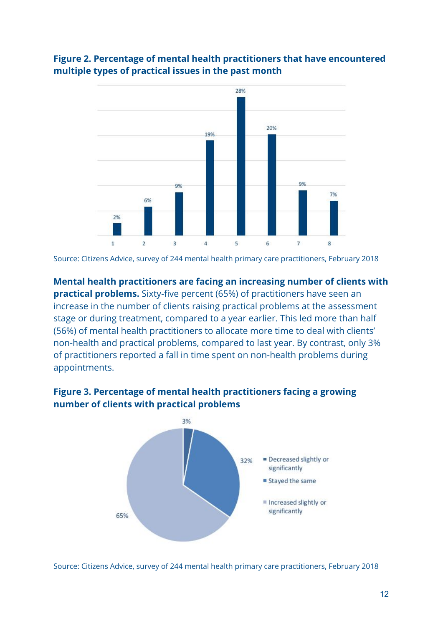

## **Figure 2. Percentage of mental health practitioners that have encountered multiple types of practical issues in the past month**

Source: Citizens Advice, survey of 244 mental health primary care practitioners, February 2018

**Mental health practitioners are facing an increasing number of clients with practical problems.** Sixty-five percent (65%) of practitioners have seen an increase in the number of clients raising practical problems at the assessment stage or during treatment, compared to a year earlier. This led more than half (56%) of mental health practitioners to allocate more time to deal with clients' non-health and practical problems, compared to last year. By contrast, only 3% of practitioners reported a fall in time spent on non-health problems during appointments.

### **Figure 3. Percentage of mental health practitioners facing a growing number of clients with practical problems**



Source: Citizens Advice, survey of 244 mental health primary care practitioners, February 2018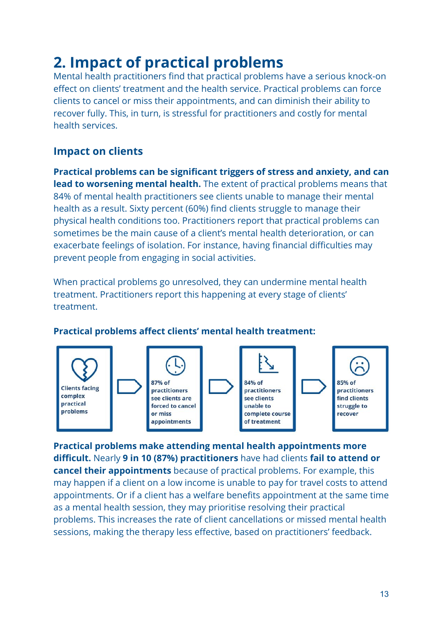## <span id="page-12-0"></span>**2. Impact of practical problems**

Mental health practitioners find that practical problems have a serious knock-on effect on clients' treatment and the health service. Practical problems can force clients to cancel or miss their appointments, and can diminish their ability to recover fully. This, in turn, is stressful for practitioners and costly for mental health services.

## <span id="page-12-1"></span>**Impact on clients**

**Practical problems can be significant triggers of stress and anxiety, and can lead to worsening mental health.** The extent of practical problems means that 84% of mental health practitioners see clients unable to manage their mental health as a result. Sixty percent (60%) find clients struggle to manage their physical health conditions too. Practitioners report that practical problems can sometimes be the main cause of a client's mental health deterioration, or can exacerbate feelings of isolation. For instance, having financial difficulties may prevent people from engaging in social activities.

When practical problems go unresolved, they can undermine mental health treatment. Practitioners report this happening at every stage of clients' treatment.



## **Practical problems affect clients' mental health treatment:**

**Practical problems make attending mental health appointments more difficult.** Nearly **9 in 10 (87%) practitioners** have had clients **fail to attend or cancel their appointments** because of practical problems. For example, this may happen if a client on a low income is unable to pay for travel costs to attend appointments. Or if a client has a welfare benefits appointment at the same time as a mental health session, they may prioritise resolving their practical problems. This increases the rate of client cancellations or missed mental health sessions, making the therapy less effective, based on practitioners' feedback.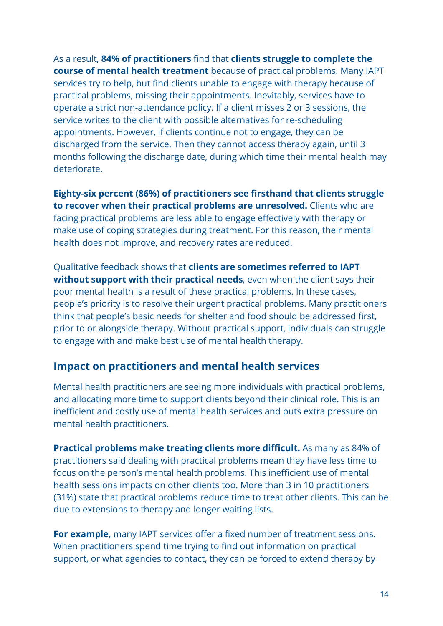As a result, **84% of practitioners** find that **clients struggle to complete the course of mental health treatment** because of practical problems.Many IAPT services try to help, but find clients unable to engage with therapy because of practical problems, missing their appointments. Inevitably, services have to operate a strict non-attendance policy. If a client misses 2 or 3 sessions, the service writes to the client with possible alternatives for re-scheduling appointments. However, if clients continue not to engage, they can be discharged from the service. Then they cannot access therapy again, until 3 months following the discharge date, during which time their mental health may deteriorate.

**Eighty-six percent (86%) of practitioners see firsthand that clients struggle to recover when their practical problems are unresolved.** Clients who are facing practical problems are less able to engage effectively with therapy or make use of coping strategies during treatment. For this reason, their mental health does not improve, and recovery rates are reduced.

Qualitativefeedback shows that **clients are sometimes referred to IAPT without support with their practical needs**, even when the client says their poor mental health is a result of these practical problems. In these cases, people's priority is to resolve their urgent practical problems. Many practitioners think that people's basic needs for shelter and food should be addressed first, prior to or alongside therapy. Without practical support, individuals can struggle to engage with and make best use of mental health therapy.

## <span id="page-13-0"></span>**Impact on practitioners and mental health services**

Mental health practitioners are seeing more individuals with practical problems, and allocating more time to support clients beyond their clinical role. This is an inefficient and costly use of mental health services and puts extra pressure on mental health practitioners.

**Practical problems make treating clients more difficult.** As many as 84% of practitioners said dealing with practical problems mean they have less time to focus on the person's mental health problems.This inefficient use of mental health sessions impacts on other clients too. More than 3 in 10 practitioners (31%) state that practical problems reduce time to treat other clients. This can be due to extensions to therapy and longer waiting lists.

**For example,** many IAPT services offer a fixed number of treatment sessions. When practitioners spend time trying to find out information on practical support, or what agencies to contact, they can be forced to extend therapy by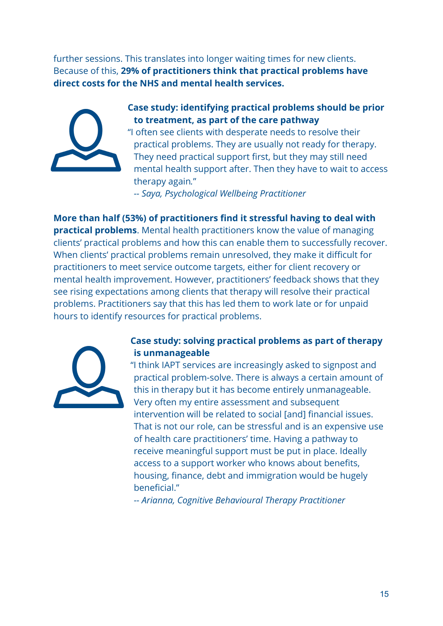further sessions. This translates into longer waiting times for new clients. Because of this, **29% of practitioners think that practical problems have direct costs for the NHS and mental health services.**



## **Case study: identifying practical problems should be prior to treatment, as part of the care pathway**

"I often see clients with desperate needs to resolve their practical problems. They are usually not ready for therapy. They need practical support first, but they may still need mental health support after. Then they have to wait to access therapy again*.*"

*-- Saya, Psychological Wellbeing Practitioner*

**More than half (53%) of practitioners find it stressful having to deal with practical problems**. Mental health practitioners know the value of managing clients' practical problems and how this can enable them to successfully recover. When clients' practical problems remain unresolved, they make it difficult for practitioners to meet service outcome targets, either for client recovery or mental health improvement. However, practitioners' feedback shows that they see rising expectations among clients that therapy will resolve their practical problems. Practitioners say that this has led them to work late or for unpaid hours to identify resources for practical problems.



#### **Case study: solving practical problems as part of therapy is unmanageable**

"I think IAPT services are increasingly asked to signpost and practical problem-solve. There is always a certain amount of this in therapy but it has become entirely unmanageable. Very often my entire assessment and subsequent intervention will be related to social [and] financial issues. That is not our role, can be stressful and is an expensive use of health care practitioners' time. Having a pathway to receive meaningful support must be put in place. Ideally access to a support worker who knows about benefits, housing, finance, debt and immigration would be hugely beneficial."

*-- Arianna, Cognitive Behavioural Therapy Practitioner*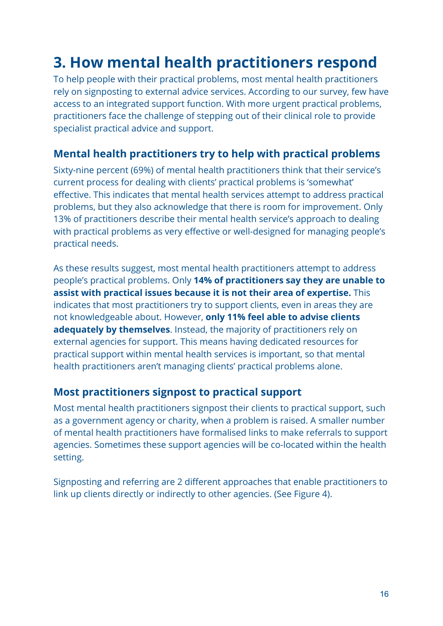## <span id="page-15-0"></span>**3. How mental health practitioners respond**

To help people with their practical problems, most mental health practitioners rely on signposting to external advice services. According to our survey, few have access to an integrated support function. With more urgent practical problems, practitioners face the challenge of stepping out of their clinical role to provide specialist practical advice and support.

## <span id="page-15-1"></span>**Mental health practitioners try to help with practical problems**

Sixty-nine percent (69%) of mental health practitioners think that their service's current process for dealing with clients' practical problems is 'somewhat' effective. This indicates that mental health services attempt to address practical problems, but they also acknowledge that there is room for improvement. Only 13% of practitioners describe their mental health service's approach to dealing with practical problems as very effective or well-designed for managing people's practical needs.

As these results suggest, most mental health practitioners attempt to address people's practical problems. Only **14% of practitioners say they are unable to assist with practical issues because it is not their area of expertise.** This indicates that most practitioners try to support clients, even in areas they are not knowledgeable about. However, **only 11% feel able to advise clients adequately by themselves**. Instead, the majority of practitioners rely on external agencies for support. This means having dedicated resources for practical support within mental health services is important, so that mental health practitioners aren't managing clients' practical problems alone.

## <span id="page-15-2"></span>**Most practitioners signpost to practical support**

Most mental health practitioners signpost their clients to practical support, such as a government agency or charity, when a problem is raised. A smaller number of mental health practitioners have formalised links to make referrals to support agencies. Sometimes these support agencies will be co-located within the health setting.

Signposting and referring are 2 different approaches that enable practitioners to link up clients directly or indirectly to other agencies. (See Figure 4).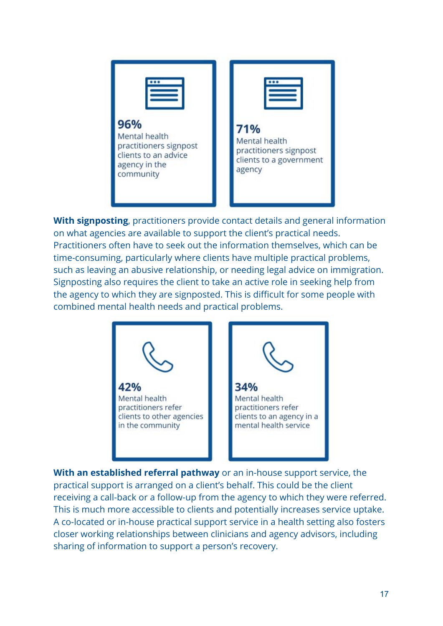

**With signposting**, practitioners provide contact details and general information on what agencies are available to support the client's practical needs. Practitioners often have to seek out the information themselves, which can be time-consuming, particularly where clients have multiple practical problems, such as leaving an abusive relationship, or needing legal advice on immigration. Signposting also requires the client to take an active role in seeking help from the agency to which they are signposted. This is difficult for some people with combined mental health needs and practical problems.



**With an established referral pathway** or an in-house support service, the practical support is arranged on a client's behalf. This could be the client receiving a call-back or a follow-up from the agency to which they were referred. This is much more accessible to clients and potentially increases service uptake. A co-located or in-house practical support service in a health setting also fosters closer working relationships between clinicians and agency advisors, including sharing of information to support a person's recovery.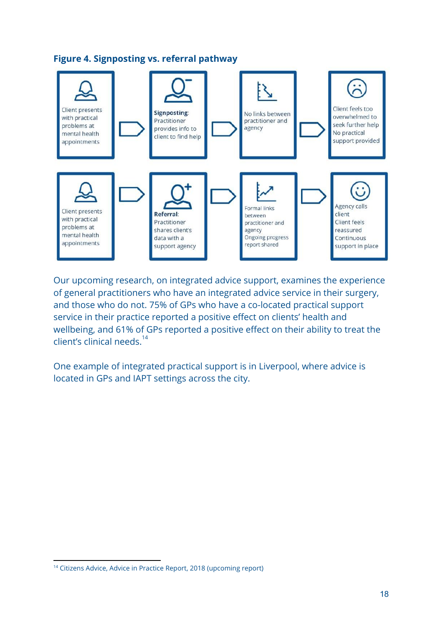



Our upcoming research, on integrated advice support, examines the experience of general practitioners who have an integrated advice service in their surgery, and those who do not. 75% of GPs who have a co-located practical support service in their practice reported a positive effect on clients' health and wellbeing, and 61% of GPs reported a positive effect on their ability to treat the client's clinical needs. $14$ 

One example of integrated practical support is in Liverpool, where advice is located in GPs and IAPT settings across the city.

<sup>&</sup>lt;sup>14</sup> Citizens Advice, Advice in Practice Report, 2018 (upcoming report)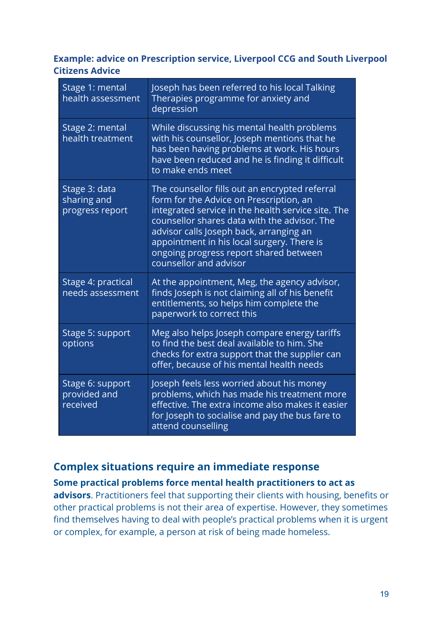## **Example: advice on Prescription service, Liverpool CCG and South Liverpool Citizens Advice**

| Stage 1: mental<br>health assessment            | Joseph has been referred to his local Talking<br>Therapies programme for anxiety and<br>depression                                                                                                                                                                                                                                                           |
|-------------------------------------------------|--------------------------------------------------------------------------------------------------------------------------------------------------------------------------------------------------------------------------------------------------------------------------------------------------------------------------------------------------------------|
| Stage 2: mental<br>health treatment             | While discussing his mental health problems<br>with his counsellor, Joseph mentions that he<br>has been having problems at work. His hours<br>have been reduced and he is finding it difficult<br>to make ends meet                                                                                                                                          |
| Stage 3: data<br>sharing and<br>progress report | The counsellor fills out an encrypted referral<br>form for the Advice on Prescription, an<br>integrated service in the health service site. The<br>counsellor shares data with the advisor. The<br>advisor calls Joseph back, arranging an<br>appointment in his local surgery. There is<br>ongoing progress report shared between<br>counsellor and advisor |
| Stage 4: practical<br>needs assessment          | At the appointment, Meg, the agency advisor,<br>finds Joseph is not claiming all of his benefit<br>entitlements, so helps him complete the<br>paperwork to correct this                                                                                                                                                                                      |
| Stage 5: support<br>options                     | Meg also helps Joseph compare energy tariffs<br>to find the best deal available to him. She<br>checks for extra support that the supplier can<br>offer, because of his mental health needs                                                                                                                                                                   |
| Stage 6: support<br>provided and<br>received    | Joseph feels less worried about his money<br>problems, which has made his treatment more<br>effective. The extra income also makes it easier<br>for Joseph to socialise and pay the bus fare to<br>attend counselling                                                                                                                                        |

## <span id="page-18-0"></span>**Complex situations require an immediate response**

## **Some practical problems force mental health practitioners to act as**

**advisors**. Practitioners feel that supporting their clients with housing, benefits or other practical problems is not their area of expertise. However, they sometimes find themselves having to deal with people's practical problems when it is urgent or complex, for example, a person at risk of being made homeless.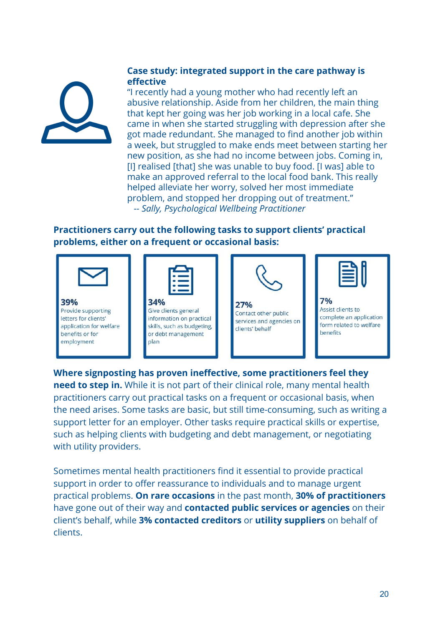#### **Case study: integrated support in the care pathway is effective**

"I recently had a young mother who had recently left an abusive relationship. Aside from her children, the main thing that kept her going was her job working in a local cafe. She came in when she started struggling with depression after she got made redundant. She managed to find another job within a week, but struggled to make ends meet between starting her new position, as she had no income between jobs. Coming in, [I] realised [that] she was unable to buy food. [I was] able to make an approved referral to the local food bank. This really helped alleviate her worry, solved her most immediate problem, and stopped her dropping out of treatment." *-- Sally, Psychological Wellbeing Practitioner*

## **Practitioners carry out the following tasks to support clients' practical problems, either on a frequent or occasional basis:**



**Where signposting has proven ineffective, some practitioners feel they need to step in.** While it is not part of their clinical role, many mental health practitioners carry out practical tasks on a frequent or occasional basis, when the need arises. Some tasks are basic, but still time-consuming, such as writing a support letter for an employer. Other tasks require practical skills or expertise, such as helping clients with budgeting and debt management, or negotiating with utility providers.

Sometimes mental health practitioners find it essential to provide practical support in order to offer reassurance to individuals and to manage urgent practical problems. **On rare occasions** in the past month, **30% of practitioners** have gone out of their way and **contacted public services or agencies** on their client's behalf, while **3% contacted creditors** or **utility suppliers** on behalf of clients.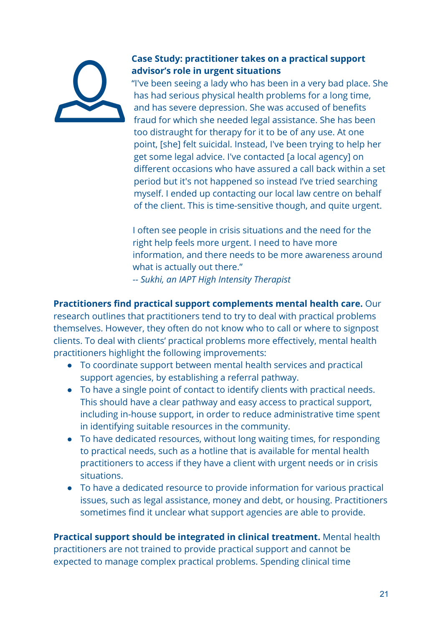## **Case Study: practitioner takes on a practical support advisor's role in urgent situations**

"I've been seeing a lady who has been in a very bad place. She has had serious physical health problems for a long time, and has severe depression. She was accused of benefits fraud for which she needed legal assistance. She has been too distraught for therapy for it to be of any use. At one point, [she] felt suicidal. Instead, I've been trying to help her get some legal advice. I've contacted [a local agency] on different occasions who have assured a call back within a set period but it's not happened so instead I've tried searching myself. I ended up contacting our local law centre on behalf of the client. This is time-sensitive though, and quite urgent.

I often see people in crisis situations and the need for the right help feels more urgent. I need to have more information, and there needs to be more awareness around what is actually out there." *-- Sukhi, an IAPT High Intensity Therapist*

**Practitioners find practical support complements mental health care.** Our research outlines that practitioners tend to try to deal with practical problems themselves. However, they often do not know who to call or where to signpost clients. To deal with clients' practical problems more effectively, mental health practitioners highlight the following improvements:

- To coordinate support between mental health services and practical support agencies, by establishing a referral pathway.
- To have a single point of contact to identify clients with practical needs. This should have a clear pathway and easy access to practical support, including in-house support, in order to reduce administrative time spent in identifying suitable resources in the community.
- To have dedicated resources, without long waiting times, for responding to practical needs, such as a hotline that is available for mental health practitioners to access if they have a client with urgent needs or in crisis situations.
- To have a dedicated resource to provide information for various practical issues, such as legal assistance, money and debt, or housing. Practitioners sometimes find it unclear what support agencies are able to provide.

**Practical support should be integrated in clinical treatment.** Mental health practitioners are not trained to provide practical support and cannot be expected to manage complex practical problems. Spending clinical time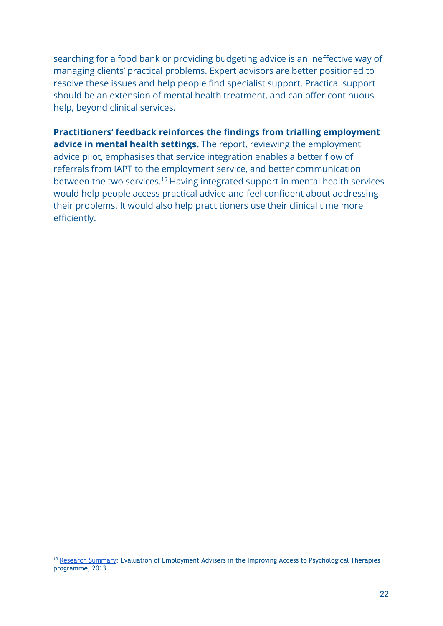searching for a food bank or providing budgeting advice is an ineffective way of managing clients' practical problems. Expert advisors are better positioned to resolve these issues and help people find specialist support. Practical support should be an extension of mental health treatment, and can offer continuous help, beyond clinical services.

**Practitioners' feedback reinforces the findings from trialling employment advice in mental health settings.** The report, reviewing the employment advice pilot, emphasises that service integration enables a better flow of referrals from IAPT to the employment service, and better communication between the two services.<sup>15</sup> Having integrated support in mental health services would help people access practical advice and feel confident about addressing their problems. It would also help practitioners use their clinical time more efficiently.

<sup>&</sup>lt;sup>15</sup> [Research Summary](https://assets.publishing.service.gov.uk/government/uploads/system/uploads/attachment_data/file/221217/826summ.pdf): Evaluation of Employment Advisers in the Improving Access to Psychological Therapies programme, 2013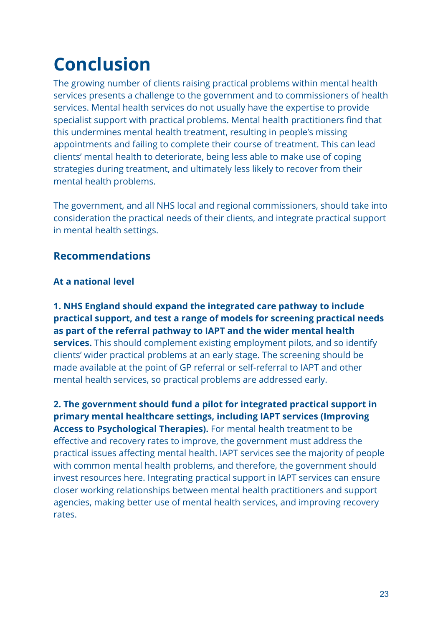# <span id="page-22-0"></span>**Conclusion**

The growing number of clients raising practical problems within mental health services presents a challenge to the government and to commissioners of health services. Mental health services do not usually have the expertise to provide specialist support with practical problems. Mental health practitioners find that this undermines mental health treatment, resulting in people's missing appointments and failing to complete their course of treatment. This can lead clients' mental health to deteriorate, being less able to make use of coping strategies during treatment, and ultimately less likely to recover from their mental health problems.

The government, and all NHS local and regional commissioners, should take into consideration the practical needs of their clients, and integrate practical support in mental health settings.

## **Recommendations**

### **At a national level**

**1. NHS England should expand the integrated care pathway to include practical support, and test a range of models for screening practical needs as part of the referral pathway to IAPT and the wider mental health services.** This should complement existing employment pilots, and so identify clients' wider practical problems at an early stage.The screening should be made available at the point of GP referral or self-referral to IAPT and other mental health services, so practical problems are addressed early.

**2. The government should fund a pilot for integrated practical support in primary mental healthcare settings, including IAPT services (Improving Access to Psychological Therapies).** For mental health treatment to be effective and recovery rates to improve, the government must address the practical issues affecting mental health. IAPT services see the majority of people with common mental health problems, and therefore, the government should invest resources here. Integrating practical support in IAPT services can ensure closer working relationships between mental health practitioners and support agencies, making better use of mental health services, and improving recovery rates.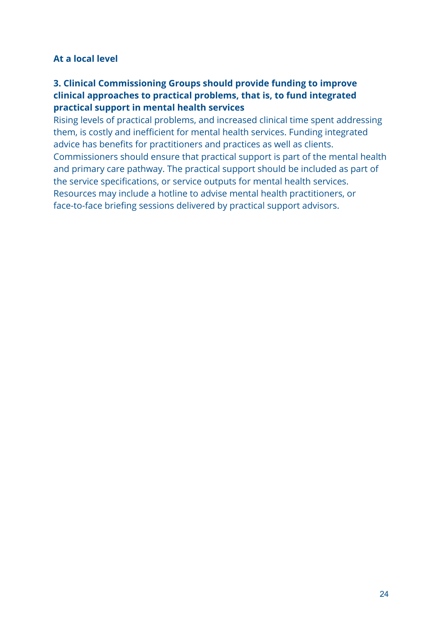## **At a local level**

## **3. Clinical Commissioning Groups should provide funding to improve clinical approaches to practical problems, that is, to fund integrated practical support in mental health services**

Rising levels of practical problems, and increased clinical time spent addressing them, is costly and inefficient for mental health services. Funding integrated advice has benefits for practitioners and practices as well as clients. Commissioners should ensure that practical support is part of the mental health and primary care pathway. The practical support should be included as part of the service specifications, or service outputs for mental health services. Resources may include a hotline to advise mental health practitioners, or face-to-face briefing sessions delivered by practical support advisors.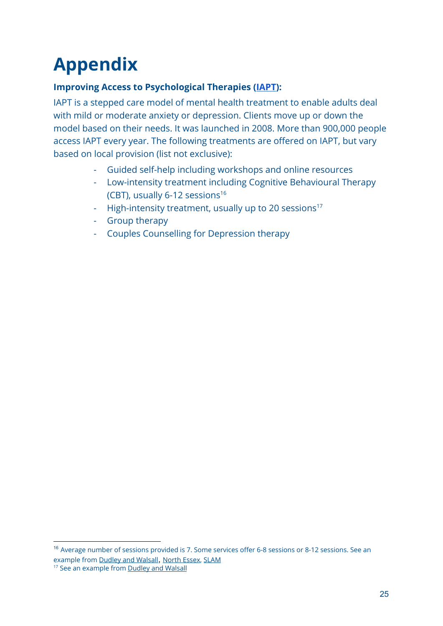# <span id="page-24-0"></span>**Appendix**

## **Improving Access to Psychological Therapies ([IAPT\)](https://www.england.nhs.uk/wp-content/uploads/2015/02/iapt-wait-times-guid.pdf):**

IAPT is a stepped care model of mental health treatment to enable adults deal with mild or moderate anxiety or depression. Clients move up or down the model based on their needs. It was launched in 2008. More than 900,000 people access IAPT every year. The following treatments are offered on IAPT, but vary based on local provision (list not exclusive):

- Guided self-help including workshops and online resources
- Low-intensity treatment including Cognitive Behavioural Therapy (CBT), usually  $6-12$  sessions<sup>16</sup>
- High-intensity treatment, usually up to 20 sessions<sup>17</sup>
- Group therapy
- Couples Counselling for Depression therapy

<sup>&</sup>lt;sup>16</sup> Average number of sessions provided is 7. Some services offer 6-8 sessions or 8-12 sessions. See an example from [Dudley and Walsall](http://www.dwmh.nhs.uk/wp-content/uploads/2015/03/PP02-Psychological-Therapies-in-primary-care.pdf), [North Essex](https://www.northessexiapt.nhs.uk/mid-essex/support/cognitive-behavioural-therapy-cbt), [SLAM](https://slam-iapt.nhs.uk/lambeth/treatment-types/online-therapy/)

<sup>&</sup>lt;sup>17</sup> See an example from **Dudley and Walsall**